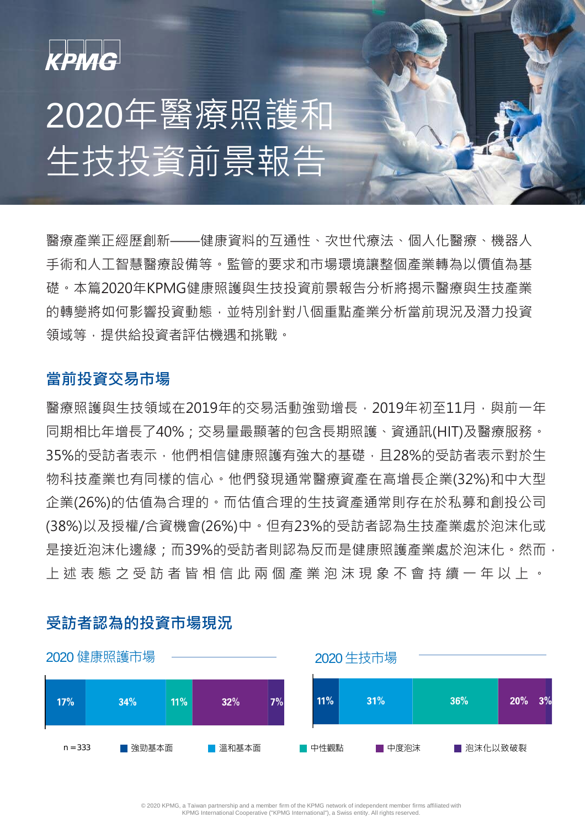

# 2020年醫療照護和 生技投資前景報告

醫療產業正經歷創新——健康資料的互通性、次世代療法、個人化醫療、機器人 手術和人工智慧醫療設備等。監管的要求和市場環境讓整個產業轉為以價值為基 礎。本篇2020年KPMG健康照護與生技投資前景報告分析將揭示醫療與生技產業 的轉變將如何影響投資動態,並特別針對八個重點產業分析當前現況及潛力投資 領域等,提供給投資者評估機遇和挑戰。

### **當前投資交易市場**

醫療照護與生技領域在2019年的交易活動強勁增長, 2019年初至11月, 與前一年 同期相比年增長了40%;交易量最顯著的包含長期照護、資通訊(HIT)及醫療服務。 35%的受訪者表示,他們相信健康照護有強大的基礎,且28%的受訪者表示對於生 物科技產業也有同樣的信心。他們發現通常醫療資產在高增長企業(32%)和中大型 企業(26%)的估值為合理的。而估值合理的生技資產通常則存在於私募和創投公司 (38%)以及授權/合資機會(26%)中。但有23%的受訪者認為生技產業處於泡沫化或 是接近泡沫化邊緣;而39%的受訪者則認為反而是健康照護產業處於泡沫化。然而, 上述表態之受訪者皆相信此兩個產業泡沫現象不會持續一年以上 。



### **受訪者認為的投資市場現況**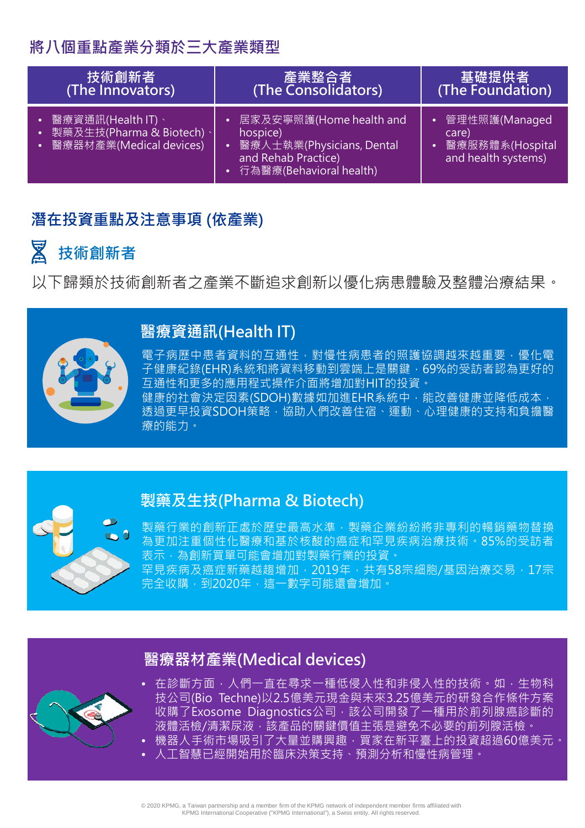## **將八個重點產業分類於三大產業類型**

| 技術創新者                                                                           | 產業整合者                                                                                                                    | 基礎提供者                                                            |
|---------------------------------------------------------------------------------|--------------------------------------------------------------------------------------------------------------------------|------------------------------------------------------------------|
| (The Innovators)                                                                | (The Consolidators)                                                                                                      | (The Foundation)                                                 |
| • 醫療資通訊(Health IT)、<br>• 製藥及生技(Pharma & Biotech)、<br> • 醫療器材產業(Medical devices) | • 居家及安寧照護(Home health and<br>hospice)<br>• 醫療人士執業(Physicians, Dental<br>and Rehab Practice)<br>• 行為醫療(Behavioral health) | 管理性照護(Managed<br>care)<br>醫療服務體系(Hospital<br>and health systems) |

### **潛在投資重點及注意事項 (依產業)**

### 図 **技術創新者**

以下歸類於技術創新者之產業不斷追求創新以優化病患體驗及整體治療結果。



### **醫療資通訊(Health IT)**

電子病歷中患者資料的互通性,對慢性病患者的照護協調越來越重要,優化電 子健康紀錄(EHR)系統和將資料移動到雲端上是關鍵, 69%的受訪者認為更好的 互通性和更多的應用程式操作介面將增加對HIT的投資。 健康的社會決定因素(SDOH)數據如加進EHR系統中,能改善健康並降低成本, 透過更早投資SDOH策略,協助人們改善住宿、運動、心理健康的支持和負擔醫 療的能力。



### **製藥及生技(Pharma & Biotech)**

製藥行業的創新正處於歷史最高水準,製藥企業紛紛將非專利的暢銷藥物替換 為更加注重個性化醫療和基於核酸的癌症和罕見疾病治療技術。85%的受訪者 表示,為創新買單可能會增加對製藥行業的<mark>投資。</mark> 罕見疾病及癌症新藥越趨增加,2019年,共有58宗細胞/基因治療交易,17宗 完全收購,到2020年,這一數字可能還會增加。

# **醫療器材產業(Medical devices)**



- 在診斷方面, 人們一直在尋求一種低侵入性和非侵入性的技術。如, 生物科 技公司(Bio Techne)以2.5億美元現金與未來3.25億美元的研發合作條件方案 收購了Exosome Diagnostics公司,該公司開發了一種用於前列腺癌診斷的 液體活檢/清潔尿液,該產品的關鍵價值主張是避免不必要的前列腺活檢。
- 機器人手術市場吸引了大量並購興趣,買家在新平臺上的投資超過60億美元。 • 人工智慧已經開始用於臨床決策支持、預測分析和慢性病管理。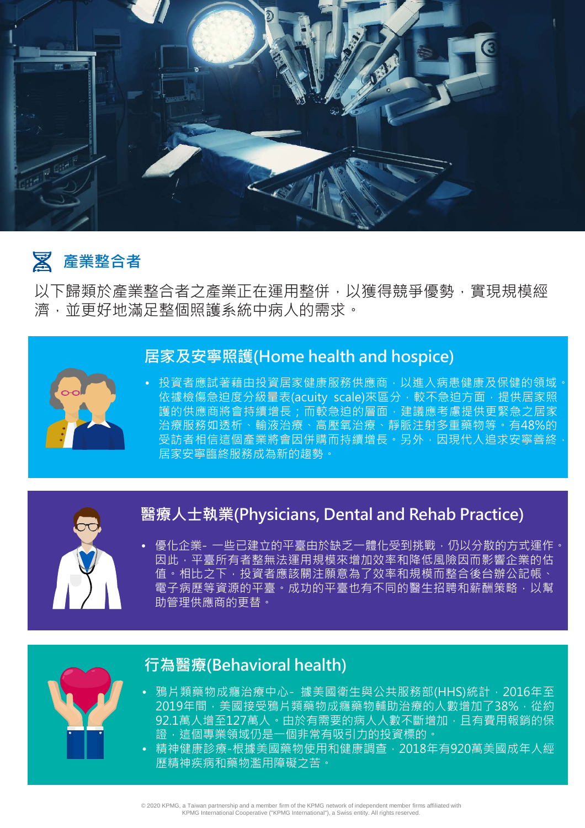

### 図 **產業整合者**

以下歸類於產業整合者之產業正在運用整併,以獲得競爭優勢,實現規模經 濟,並更好地滿足整個照護系統中病人的需求。

### **居家及安寧照護(Home health and hospice)**

投資者應試著藉由投資居家健康服務供應商,以進入病患健康及保健的領域 依據檢傷急迫度分級量表(acuity scale)來區分,較不急迫方面,提供居家照 護的供應商將會持續增長;而較急迫的層面,建議應考慮提供更緊急之居家 治療服務如透析、輸液治療、高壓氧治療、靜脈注射多重藥物等。有48%的 受訪者相信這個產業將會因併購而持續增長, 另外, 因現代人追求安寧善終 居家安寧臨終服務成為新的趨勢。



# **醫療人士執業(Physicians, Dental and Rehab Practice)**

• 優化企業- 一些已建立的平臺由於缺乏一體化受到挑戰,仍以分散的方式運作。 因此,平臺所有者整無法運用規模來增加效率和降低風險因而影響企業的估 值。相比之下,投資者應該關注願意為了效率和規模而整合後台辦公記帳、 電子病歷等資源的平臺。成功的平臺也有不同的醫生招聘和薪酬策略,以幫 助管理供應商的更替。



### **行為醫療(Behavioral health)**

- 鴉片類藥物成癮治療中心- 據美國衛生與公共服務部(HHS)統計, 2016年至 2019年間, 美國接受鴉片類藥物成癮藥物輔助治療的人數增加了38%, 從約 92.1萬人增至127萬人。由於有需要的病人人數不斷增加,且有費用報銷的保 。<br><u>證,這個專業領域仍是一個非常有吸引力的投資標的。</u>
- 精神健康診療-根據美國藥物使用和健康調查, 2018年有920萬美國成年人經 歷精神疾病和藥物濫用障礙之苦。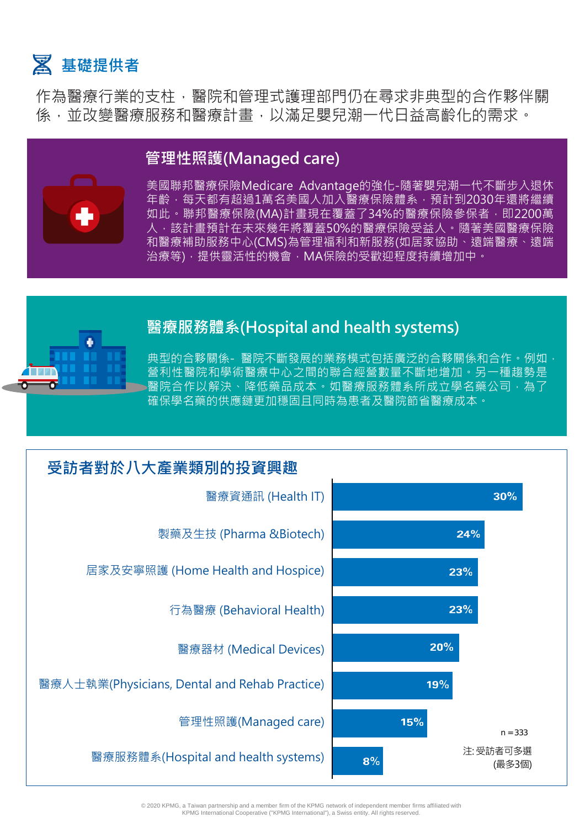

作為醫療行業的支柱,醫院和管理式護理部門仍在尋求非典型的合作夥伴關 係,並改變醫療服務和醫療計書,以滿足嬰兒潮一代日益高齡化的需求。



## **管理性照護(Managed care)**

美國聯邦醫療保險Medicare Advantage的強化-隨著嬰兒潮一代不斷步入退休 年齡,每天都有超過1萬名美國人加入醫療保險體系,預計到2030年還將繼續 如此。聯邦醫療保險(MA)計畫現在覆蓋了34%的醫療保險參保者, 即2200萬 人,該計畫預計在未來幾年將覆蓋50%的醫療保險受益人。隨著美國醫療保險 和醫療補助服務中心(CMS)為管理福利和新服務(如居家協助、遠端醫療、遠端 治療等),提供靈活性的機會,MA保險的受歡迎程度持續增加中。



### **醫療服務體系(Hospital and health systems)**

典型的合夥關係- 醫院不斷發展的業務模式包括廣泛的合夥關係和合作。例如, 營利性醫院和學術醫療中心之間的聯合經營數量不斷地增加。另一種趨勢是 醫院合作以解決、降低藥品成本。如醫療服務體系所成立學名藥公司,為了 確保學名藥的供應鏈更加穩固且同時為患者及醫院節省醫療成本。



© 2020 KPMG, a Taiwan partnership and a member firm of the KPMG network of independent member firms affiliated with KPMG International Cooperative ("KPMG International"), a Swiss entity. All rights reserved.